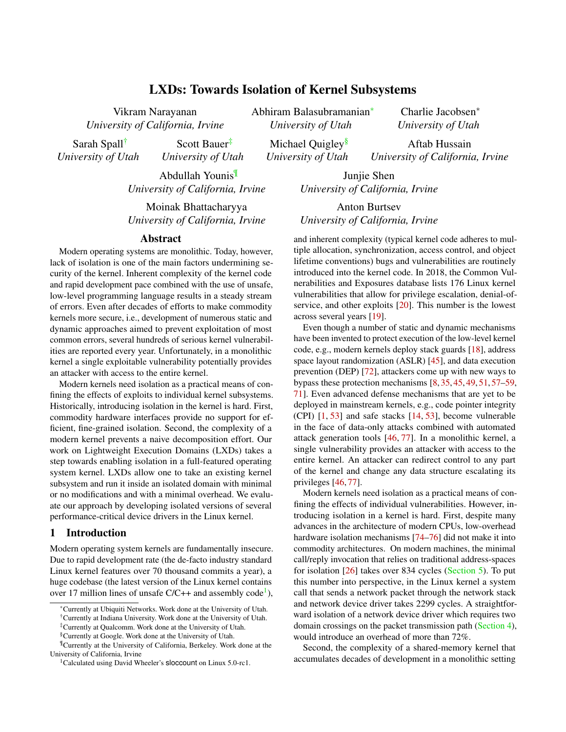# LXDs: Towards Isolation of Kernel Subsystems

Vikram Narayanan *University of California, Irvine*

Sarah Spall† *University of Utah*

Scott Bauer‡ *University of Utah*

Abdullah Younis¶ *University of California, Irvine*

Moinak Bhattacharyya *University of California, Irvine*

#### Abstract

Modern operating systems are monolithic. Today, however, lack of isolation is one of the main factors undermining security of the kernel. Inherent complexity of the kernel code and rapid development pace combined with the use of unsafe, low-level programming language results in a steady stream of errors. Even after decades of efforts to make commodity kernels more secure, i.e., development of numerous static and dynamic approaches aimed to prevent exploitation of most common errors, several hundreds of serious kernel vulnerabilities are reported every year. Unfortunately, in a monolithic kernel a single exploitable vulnerability potentially provides an attacker with access to the entire kernel.

Modern kernels need isolation as a practical means of confining the effects of exploits to individual kernel subsystems. Historically, introducing isolation in the kernel is hard. First, commodity hardware interfaces provide no support for efficient, fine-grained isolation. Second, the complexity of a modern kernel prevents a naive decomposition effort. Our work on Lightweight Execution Domains (LXDs) takes a step towards enabling isolation in a full-featured operating system kernel. LXDs allow one to take an existing kernel subsystem and run it inside an isolated domain with minimal or no modifications and with a minimal overhead. We evaluate our approach by developing isolated versions of several performance-critical device drivers in the Linux kernel.

## 1 Introduction

Modern operating system kernels are fundamentally insecure. Due to rapid development rate (the de-facto industry standard Linux kernel features over 70 thousand commits a year), a huge codebase (the latest version of the Linux kernel contains over [1](#page-0-0)7 million lines of unsafe  $C/C++$  and assembly code<sup>1</sup>),

Abhiram Balasubramanian<sup>∗</sup> *University of Utah*

> Michael Quigley<sup>§</sup> *University of Utah*

Charlie Jacobsen<sup>∗</sup> *University of Utah*

Aftab Hussain *University of California, Irvine*

Junjie Shen *University of California, Irvine*

Anton Burtsev *University of California, Irvine*

and inherent complexity (typical kernel code adheres to multiple allocation, synchronization, access control, and object lifetime conventions) bugs and vulnerabilities are routinely introduced into the kernel code. In 2018, the Common Vulnerabilities and Exposures database lists 176 Linux kernel vulnerabilities that allow for privilege escalation, denial-ofservice, and other exploits [\[20\]](#page-12-0). This number is the lowest across several years [\[19\]](#page-12-1).

Even though a number of static and dynamic mechanisms have been invented to protect execution of the low-level kernel code, e.g., modern kernels deploy stack guards [\[18\]](#page-12-2), address space layout randomization (ASLR) [\[45\]](#page-13-0), and data execution prevention (DEP) [\[72\]](#page-14-0), attackers come up with new ways to bypass these protection mechanisms [\[8,](#page-12-3) [35,](#page-13-1) [45,](#page-13-0) [49,](#page-14-1) [51,](#page-14-2) [57–](#page-14-3)[59,](#page-14-4) [71\]](#page-14-5). Even advanced defense mechanisms that are yet to be deployed in mainstream kernels, e.g., code pointer integrity (CPI) [\[1,](#page-11-0) [53\]](#page-14-6) and safe stacks [\[14,](#page-12-4) [53\]](#page-14-6), become vulnerable in the face of data-only attacks combined with automated attack generation tools [\[46,](#page-13-2) [77\]](#page-15-0). In a monolithic kernel, a single vulnerability provides an attacker with access to the entire kernel. An attacker can redirect control to any part of the kernel and change any data structure escalating its privileges [\[46,](#page-13-2) [77\]](#page-15-0).

Modern kernels need isolation as a practical means of confining the effects of individual vulnerabilities. However, introducing isolation in a kernel is hard. First, despite many advances in the architecture of modern CPUs, low-overhead hardware isolation mechanisms [\[74](#page-15-1)[–76\]](#page-15-2) did not make it into commodity architectures. On modern machines, the minimal call/reply invocation that relies on traditional address-spaces for isolation [\[26\]](#page-13-3) takes over 834 cycles [\(Section 5\)](#page-7-0). To put this number into perspective, in the Linux kernel a system call that sends a network packet through the network stack and network device driver takes 2299 cycles. A straightforward isolation of a network device driver which requires two domain crossings on the packet transmission path [\(Section 4\)](#page-6-0), would introduce an overhead of more than 72%.

Second, the complexity of a shared-memory kernel that accumulates decades of development in a monolithic setting

<sup>∗</sup>Currently at Ubiquiti Networks. Work done at the University of Utah.

<sup>†</sup>Currently at Indiana University. Work done at the University of Utah.

<sup>‡</sup>Currently at Qualcomm. Work done at the University of Utah.

<sup>§</sup>Currently at Google. Work done at the University of Utah.

<sup>¶</sup>Currently at the University of California, Berkeley. Work done at the University of California, Irvine

<span id="page-0-0"></span><sup>&</sup>lt;sup>1</sup>Calculated using David Wheeler's **sloccount** on Linux 5.0-rc1.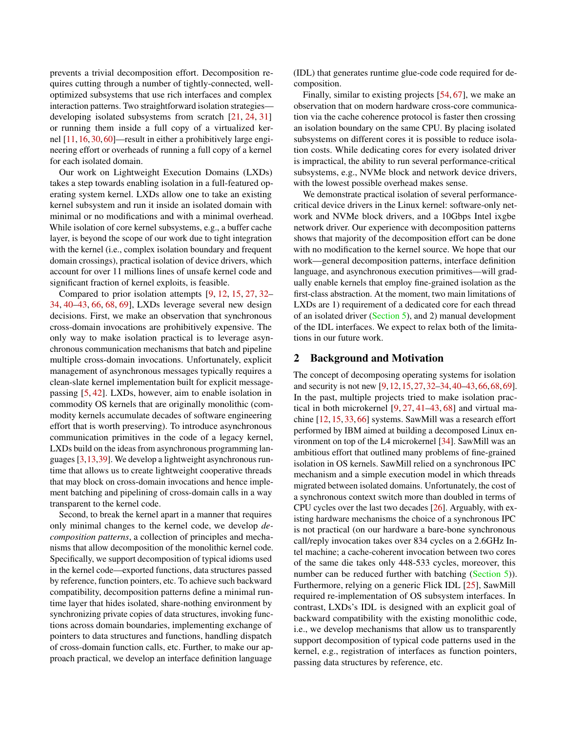prevents a trivial decomposition effort. Decomposition requires cutting through a number of tightly-connected, welloptimized subsystems that use rich interfaces and complex interaction patterns. Two straightforward isolation strategies developing isolated subsystems from scratch [\[21,](#page-12-5) [24,](#page-13-4) [31\]](#page-13-5) or running them inside a full copy of a virtualized kernel [\[11,](#page-12-6) [16,](#page-12-7) [30,](#page-13-6) [60\]](#page-14-7)—result in either a prohibitively large engineering effort or overheads of running a full copy of a kernel for each isolated domain.

Our work on Lightweight Execution Domains (LXDs) takes a step towards enabling isolation in a full-featured operating system kernel. LXDs allow one to take an existing kernel subsystem and run it inside an isolated domain with minimal or no modifications and with a minimal overhead. While isolation of core kernel subsystems, e.g., a buffer cache layer, is beyond the scope of our work due to tight integration with the kernel (i.e., complex isolation boundary and frequent domain crossings), practical isolation of device drivers, which account for over 11 millions lines of unsafe kernel code and significant fraction of kernel exploits, is feasible.

Compared to prior isolation attempts [\[9,](#page-12-8) [12,](#page-12-9) [15,](#page-12-10) [27,](#page-13-7) [32–](#page-13-8) [34,](#page-13-9) [40](#page-13-10)[–43,](#page-13-11) [66,](#page-14-8) [68,](#page-14-9) [69\]](#page-14-10), LXDs leverage several new design decisions. First, we make an observation that synchronous cross-domain invocations are prohibitively expensive. The only way to make isolation practical is to leverage asynchronous communication mechanisms that batch and pipeline multiple cross-domain invocations. Unfortunately, explicit management of asynchronous messages typically requires a clean-slate kernel implementation built for explicit messagepassing [\[5,](#page-12-11) [42\]](#page-13-12). LXDs, however, aim to enable isolation in commodity OS kernels that are originally monolithic (commodity kernels accumulate decades of software engineering effort that is worth preserving). To introduce asynchronous communication primitives in the code of a legacy kernel, LXDs build on the ideas from asynchronous programming languages [\[3,](#page-12-12)[13,](#page-12-13)[39\]](#page-13-13). We develop a lightweight asynchronous runtime that allows us to create lightweight cooperative threads that may block on cross-domain invocations and hence implement batching and pipelining of cross-domain calls in a way transparent to the kernel code.

Second, to break the kernel apart in a manner that requires only minimal changes to the kernel code, we develop *decomposition patterns*, a collection of principles and mechanisms that allow decomposition of the monolithic kernel code. Specifically, we support decomposition of typical idioms used in the kernel code—exported functions, data structures passed by reference, function pointers, etc. To achieve such backward compatibility, decomposition patterns define a minimal runtime layer that hides isolated, share-nothing environment by synchronizing private copies of data structures, invoking functions across domain boundaries, implementing exchange of pointers to data structures and functions, handling dispatch of cross-domain function calls, etc. Further, to make our approach practical, we develop an interface definition language

(IDL) that generates runtime glue-code code required for decomposition.

Finally, similar to existing projects [\[54,](#page-14-11) [67\]](#page-14-12), we make an observation that on modern hardware cross-core communication via the cache coherence protocol is faster then crossing an isolation boundary on the same CPU. By placing isolated subsystems on different cores it is possible to reduce isolation costs. While dedicating cores for every isolated driver is impractical, the ability to run several performance-critical subsystems, e.g., NVMe block and network device drivers, with the lowest possible overhead makes sense.

We demonstrate practical isolation of several performancecritical device drivers in the Linux kernel: software-only network and NVMe block drivers, and a 10Gbps Intel ixgbe network driver. Our experience with decomposition patterns shows that majority of the decomposition effort can be done with no modification to the kernel source. We hope that our work—general decomposition patterns, interface definition language, and asynchronous execution primitives—will gradually enable kernels that employ fine-grained isolation as the first-class abstraction. At the moment, two main limitations of LXDs are 1) requirement of a dedicated core for each thread of an isolated driver [\(Section 5\)](#page-7-0), and 2) manual development of the IDL interfaces. We expect to relax both of the limitations in our future work.

### 2 Background and Motivation

The concept of decomposing operating systems for isolation and security is not new [\[9,](#page-12-8)[12,](#page-12-9)[15,](#page-12-10)[27,](#page-13-7)[32](#page-13-8)[–34,](#page-13-9)[40](#page-13-10)[–43,](#page-13-11)[66,](#page-14-8)[68,](#page-14-9)[69\]](#page-14-10). In the past, multiple projects tried to make isolation practical in both microkernel [\[9,](#page-12-8) [27,](#page-13-7) [41](#page-13-14)[–43,](#page-13-11) [68\]](#page-14-9) and virtual machine [\[12,](#page-12-9) [15,](#page-12-10) [33,](#page-13-15) [66\]](#page-14-8) systems. SawMill was a research effort performed by IBM aimed at building a decomposed Linux environment on top of the L4 microkernel [\[34\]](#page-13-9). SawMill was an ambitious effort that outlined many problems of fine-grained isolation in OS kernels. SawMill relied on a synchronous IPC mechanism and a simple execution model in which threads migrated between isolated domains. Unfortunately, the cost of a synchronous context switch more than doubled in terms of CPU cycles over the last two decades [\[26\]](#page-13-3). Arguably, with existing hardware mechanisms the choice of a synchronous IPC is not practical (on our hardware a bare-bone synchronous call/reply invocation takes over 834 cycles on a 2.6GHz Intel machine; a cache-coherent invocation between two cores of the same die takes only 448-533 cycles, moreover, this number can be reduced further with batching [\(Section 5\)](#page-7-0)). Furthermore, relying on a generic Flick IDL [\[25\]](#page-13-16), SawMill required re-implementation of OS subsystem interfaces. In contrast, LXDs's IDL is designed with an explicit goal of backward compatibility with the existing monolithic code, i.e., we develop mechanisms that allow us to transparently support decomposition of typical code patterns used in the kernel, e.g., registration of interfaces as function pointers, passing data structures by reference, etc.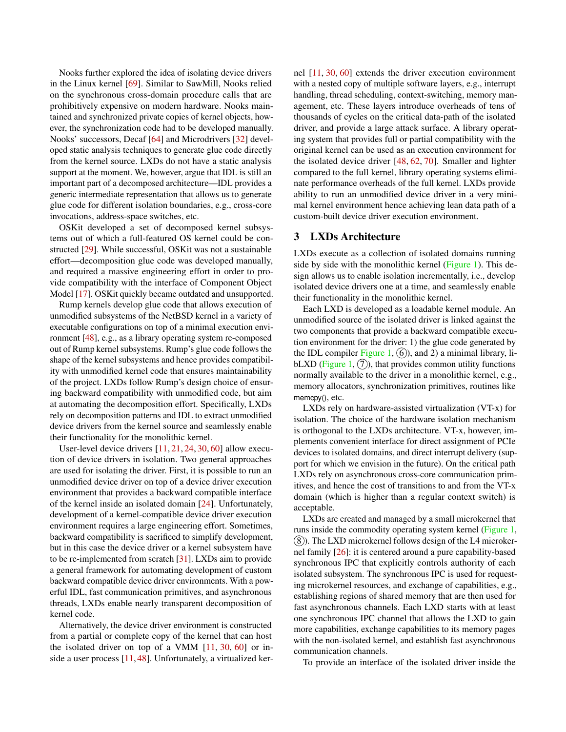Nooks further explored the idea of isolating device drivers in the Linux kernel [\[69\]](#page-14-10). Similar to SawMill, Nooks relied on the synchronous cross-domain procedure calls that are prohibitively expensive on modern hardware. Nooks maintained and synchronized private copies of kernel objects, however, the synchronization code had to be developed manually. Nooks' successors, Decaf [\[64\]](#page-14-13) and Microdrivers [\[32\]](#page-13-8) developed static analysis techniques to generate glue code directly from the kernel source. LXDs do not have a static analysis support at the moment. We, however, argue that IDL is still an important part of a decomposed architecture—IDL provides a generic intermediate representation that allows us to generate glue code for different isolation boundaries, e.g., cross-core invocations, address-space switches, etc.

OSKit developed a set of decomposed kernel subsystems out of which a full-featured OS kernel could be constructed [\[29\]](#page-13-17). While successful, OSKit was not a sustainable effort—decomposition glue code was developed manually, and required a massive engineering effort in order to provide compatibility with the interface of Component Object Model [\[17\]](#page-12-14). OSKit quickly became outdated and unsupported.

Rump kernels develop glue code that allows execution of unmodified subsystems of the NetBSD kernel in a variety of executable configurations on top of a minimal execution environment [\[48\]](#page-14-14), e.g., as a library operating system re-composed out of Rump kernel subsystems. Rump's glue code follows the shape of the kernel subsystems and hence provides compatibility with unmodified kernel code that ensures maintainability of the project. LXDs follow Rump's design choice of ensuring backward compatibility with unmodified code, but aim at automating the decomposition effort. Specifically, LXDs rely on decomposition patterns and IDL to extract unmodified device drivers from the kernel source and seamlessly enable their functionality for the monolithic kernel.

User-level device drivers [\[11,](#page-12-6) [21,](#page-12-5) [24,](#page-13-4) [30,](#page-13-6) [60\]](#page-14-7) allow execution of device drivers in isolation. Two general approaches are used for isolating the driver. First, it is possible to run an unmodified device driver on top of a device driver execution environment that provides a backward compatible interface of the kernel inside an isolated domain [\[24\]](#page-13-4). Unfortunately, development of a kernel-compatible device driver execution environment requires a large engineering effort. Sometimes, backward compatibility is sacrificed to simplify development, but in this case the device driver or a kernel subsystem have to be re-implemented from scratch [\[31\]](#page-13-5). LXDs aim to provide a general framework for automating development of custom backward compatible device driver environments. With a powerful IDL, fast communication primitives, and asynchronous threads, LXDs enable nearly transparent decomposition of kernel code.

Alternatively, the device driver environment is constructed from a partial or complete copy of the kernel that can host the isolated driver on top of a VMM [\[11,](#page-12-6) [30,](#page-13-6) [60\]](#page-14-7) or inside a user process [\[11,](#page-12-6) [48\]](#page-14-14). Unfortunately, a virtualized ker-

nel [\[11,](#page-12-6) [30,](#page-13-6) [60\]](#page-14-7) extends the driver execution environment with a nested copy of multiple software layers, e.g., interrupt handling, thread scheduling, context-switching, memory management, etc. These layers introduce overheads of tens of thousands of cycles on the critical data-path of the isolated driver, and provide a large attack surface. A library operating system that provides full or partial compatibility with the original kernel can be used as an execution environment for the isolated device driver [\[48,](#page-14-14) [62,](#page-14-15) [70\]](#page-14-16). Smaller and lighter compared to the full kernel, library operating systems eliminate performance overheads of the full kernel. LXDs provide ability to run an unmodified device driver in a very minimal kernel environment hence achieving lean data path of a custom-built device driver execution environment.

#### 3 LXDs Architecture

LXDs execute as a collection of isolated domains running side by side with the monolithic kernel [\(Figure 1\)](#page-3-0). This design allows us to enable isolation incrementally, i.e., develop isolated device drivers one at a time, and seamlessly enable their functionality in the monolithic kernel.

Each LXD is developed as a loadable kernel module. An unmodified source of the isolated driver is linked against the two components that provide a backward compatible execution environment for the driver: 1) the glue code generated by the IDL compiler [Figure 1,](#page-3-0)  $(6)$ , and 2) a minimal library, li-bLXD [\(Figure 1,](#page-3-0)  $(7)$ ), that provides common utility functions normally available to the driver in a monolithic kernel, e.g., memory allocators, synchronization primitives, routines like memcpy(), etc.

LXDs rely on hardware-assisted virtualization (VT-x) for isolation. The choice of the hardware isolation mechanism is orthogonal to the LXDs architecture. VT-x, however, implements convenient interface for direct assignment of PCIe devices to isolated domains, and direct interrupt delivery (support for which we envision in the future). On the critical path LXDs rely on asynchronous cross-core communication primitives, and hence the cost of transitions to and from the VT-x domain (which is higher than a regular context switch) is acceptable.

LXDs are created and managed by a small microkernel that runs inside the commodity operating system kernel [\(Figure 1,](#page-3-0)  $(8)$ ). The LXD microkernel follows design of the L4 microkernel family [\[26\]](#page-13-3): it is centered around a pure capability-based synchronous IPC that explicitly controls authority of each isolated subsystem. The synchronous IPC is used for requesting microkernel resources, and exchange of capabilities, e.g., establishing regions of shared memory that are then used for fast asynchronous channels. Each LXD starts with at least one synchronous IPC channel that allows the LXD to gain more capabilities, exchange capabilities to its memory pages with the non-isolated kernel, and establish fast asynchronous communication channels.

To provide an interface of the isolated driver inside the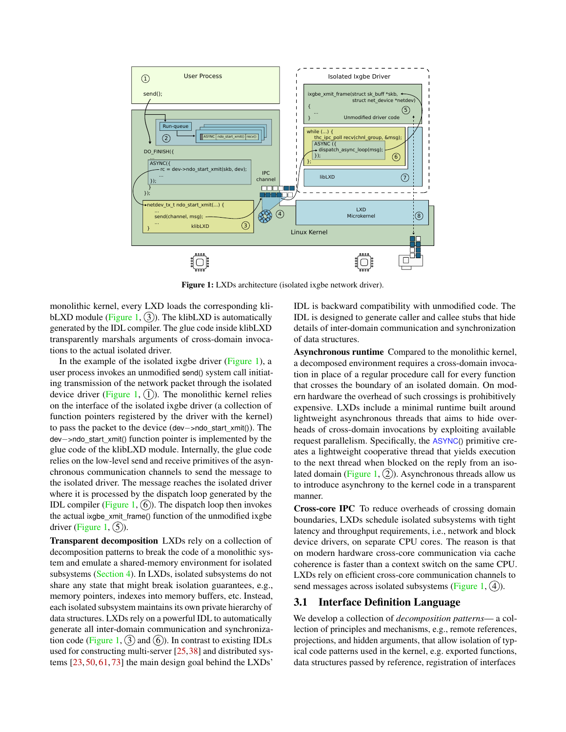<span id="page-3-0"></span>

Figure 1: LXDs architecture (isolated ixgbe network driver).

monolithic kernel, every LXD loads the corresponding kli-bLXD module [\(Figure 1,](#page-3-0)  $(3)$ ). The klibLXD is automatically generated by the IDL compiler. The glue code inside klibLXD transparently marshals arguments of cross-domain invocations to the actual isolated driver.

In the example of the isolated ixgbe driver [\(Figure 1\)](#page-3-0), a user process invokes an unmodified send() system call initiating transmission of the network packet through the isolated device driver [\(Figure 1,](#page-3-0)  $(1)$ ). The monolithic kernel relies on the interface of the isolated ixgbe driver (a collection of function pointers registered by the driver with the kernel) to pass the packet to the device (dev−>ndo\_start\_xmit()). The dev−>ndo\_start\_xmit() function pointer is implemented by the glue code of the klibLXD module. Internally, the glue code relies on the low-level send and receive primitives of the asynchronous communication channels to send the message to the isolated driver. The message reaches the isolated driver where it is processed by the dispatch loop generated by the IDL compiler [\(Figure 1,](#page-3-0)  $(6)$ ). The dispatch loop then invokes the actual ixgbe xmit frame() function of the unmodified ixgbe driver [\(Figure 1,](#page-3-0)  $(5)$ ).

Transparent decomposition LXDs rely on a collection of decomposition patterns to break the code of a monolithic system and emulate a shared-memory environment for isolated subsystems [\(Section 4\)](#page-6-0). In LXDs, isolated subsystems do not share any state that might break isolation guarantees, e.g., memory pointers, indexes into memory buffers, etc. Instead, each isolated subsystem maintains its own private hierarchy of data structures. LXDs rely on a powerful IDL to automatically generate all inter-domain communication and synchroniza-tion code [\(Figure 1,](#page-3-0)  $(3)$  and  $(6)$ ). In contrast to existing IDLs used for constructing multi-server [\[25,](#page-13-16)[38\]](#page-13-18) and distributed systems [\[23,](#page-12-15) [50,](#page-14-17) [61,](#page-14-18) [73\]](#page-15-3) the main design goal behind the LXDs'

IDL is backward compatibility with unmodified code. The IDL is designed to generate caller and callee stubs that hide details of inter-domain communication and synchronization of data structures.

Asynchronous runtime Compared to the monolithic kernel, a decomposed environment requires a cross-domain invocation in place of a regular procedure call for every function that crosses the boundary of an isolated domain. On modern hardware the overhead of such crossings is prohibitively expensive. LXDs include a minimal runtime built around lightweight asynchronous threads that aims to hide overheads of cross-domain invocations by exploiting available request parallelism. Specifically, the ASYNC() primitive creates a lightweight cooperative thread that yields execution to the next thread when blocked on the reply from an iso-lated domain [\(Figure 1,](#page-3-0)  $(2)$ ). Asynchronous threads allow us to introduce asynchrony to the kernel code in a transparent manner.

Cross-core IPC To reduce overheads of crossing domain boundaries, LXDs schedule isolated subsystems with tight latency and throughput requirements, i.e., network and block device drivers, on separate CPU cores. The reason is that on modern hardware cross-core communication via cache coherence is faster than a context switch on the same CPU. LXDs rely on efficient cross-core communication channels to send messages across isolated subsystems [\(Figure 1,](#page-3-0)  $(4)$ ).

### 3.1 Interface Definition Language

We develop a collection of *decomposition patterns*— a collection of principles and mechanisms, e.g., remote references, projections, and hidden arguments, that allow isolation of typical code patterns used in the kernel, e.g. exported functions, data structures passed by reference, registration of interfaces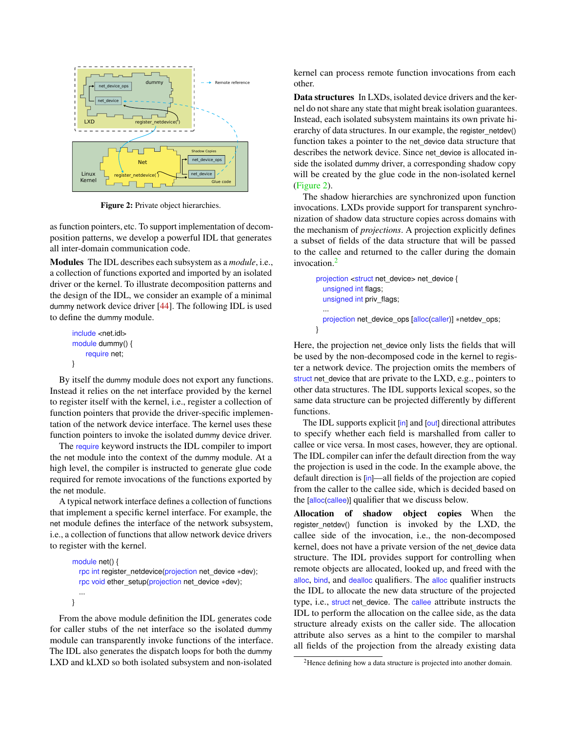<span id="page-4-0"></span>

Figure 2: Private object hierarchies.

as function pointers, etc. To support implementation of decomposition patterns, we develop a powerful IDL that generates all inter-domain communication code.

Modules The IDL describes each subsystem as a *module*, i.e., a collection of functions exported and imported by an isolated driver or the kernel. To illustrate decomposition patterns and the design of the IDL, we consider an example of a minimal dummy network device driver [\[44\]](#page-13-19). The following IDL is used to define the dummy module.

```
include <net.idl>
module dummy() {
    require net;
}
```
By itself the dummy module does not export any functions. Instead it relies on the net interface provided by the kernel to register itself with the kernel, i.e., register a collection of function pointers that provide the driver-specific implementation of the network device interface. The kernel uses these function pointers to invoke the isolated dummy device driver.

The require keyword instructs the IDL compiler to import the net module into the context of the dummy module. At a high level, the compiler is instructed to generate glue code required for remote invocations of the functions exported by the net module.

A typical network interface defines a collection of functions that implement a specific kernel interface. For example, the net module defines the interface of the network subsystem, i.e., a collection of functions that allow network device drivers to register with the kernel.

```
module net() {
  rpc int register_netdevice(projection net_device ∗dev);
 rpc void ether_setup(projection net_device ∗dev);
  ...
```
}

From the above module definition the IDL generates code for caller stubs of the net interface so the isolated dummy module can transparently invoke functions of the interface. The IDL also generates the dispatch loops for both the dummy LXD and kLXD so both isolated subsystem and non-isolated

kernel can process remote function invocations from each other.

Data structures In LXDs, isolated device drivers and the kernel do not share any state that might break isolation guarantees. Instead, each isolated subsystem maintains its own private hierarchy of data structures. In our example, the register\_netdev() function takes a pointer to the net device data structure that describes the network device. Since net\_device is allocated inside the isolated dummy driver, a corresponding shadow copy will be created by the glue code in the non-isolated kernel [\(Figure 2\)](#page-4-0).

The shadow hierarchies are synchronized upon function invocations. LXDs provide support for transparent synchronization of shadow data structure copies across domains with the mechanism of *projections*. A projection explicitly defines a subset of fields of the data structure that will be passed to the callee and returned to the caller during the domain invocation.[2](#page-4-1)

```
projection <struct net_device> net_device {
  unsigned int flags;
  unsigned int priv_flags;
  ...
  projection net_device_ops [alloc(caller)] *netdev_ops;
}
```
Here, the projection net\_device only lists the fields that will be used by the non-decomposed code in the kernel to register a network device. The projection omits the members of struct net device that are private to the LXD, e.g., pointers to other data structures. The IDL supports lexical scopes, so the same data structure can be projected differently by different functions.

The IDL supports explicit [in] and [out] directional attributes to specify whether each field is marshalled from caller to callee or vice versa. In most cases, however, they are optional. The IDL compiler can infer the default direction from the way the projection is used in the code. In the example above, the default direction is [in]—all fields of the projection are copied from the caller to the callee side, which is decided based on the [alloc(callee)] qualifier that we discuss below.

Allocation of shadow object copies When the register netdev() function is invoked by the LXD, the callee side of the invocation, i.e., the non-decomposed kernel, does not have a private version of the net device data structure. The IDL provides support for controlling when remote objects are allocated, looked up, and freed with the alloc, bind, and dealloc qualifiers. The alloc qualifier instructs the IDL to allocate the new data structure of the projected type, i.e., struct net\_device. The callee attribute instructs the IDL to perform the allocation on the callee side, as the data structure already exists on the caller side. The allocation attribute also serves as a hint to the compiler to marshal all fields of the projection from the already existing data

<span id="page-4-1"></span><sup>&</sup>lt;sup>2</sup>Hence defining how a data structure is projected into another domain.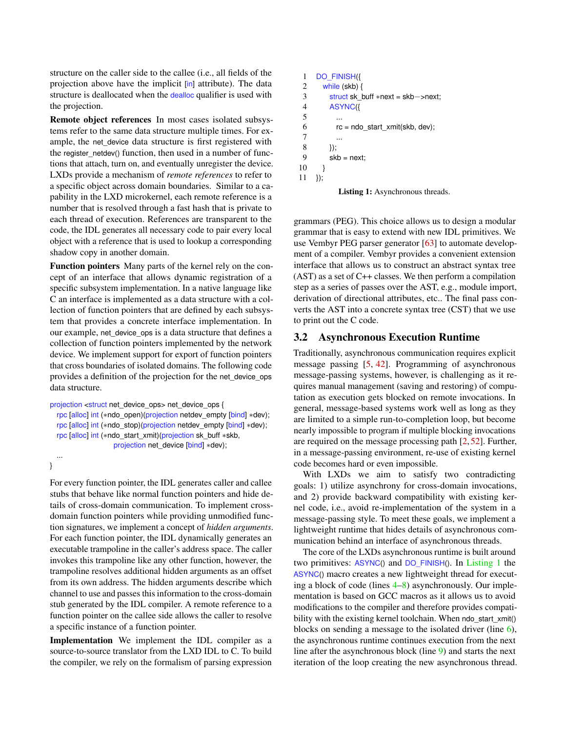structure on the caller side to the callee (i.e., all fields of the projection above have the implicit [in] attribute). The data structure is deallocated when the dealloc qualifier is used with the projection.

Remote object references In most cases isolated subsystems refer to the same data structure multiple times. For example, the net device data structure is first registered with the register\_netdev() function, then used in a number of functions that attach, turn on, and eventually unregister the device. LXDs provide a mechanism of *remote references* to refer to a specific object across domain boundaries. Similar to a capability in the LXD microkernel, each remote reference is a number that is resolved through a fast hash that is private to each thread of execution. References are transparent to the code, the IDL generates all necessary code to pair every local object with a reference that is used to lookup a corresponding shadow copy in another domain.

Function pointers Many parts of the kernel rely on the concept of an interface that allows dynamic registration of a specific subsystem implementation. In a native language like C an interface is implemented as a data structure with a collection of function pointers that are defined by each subsystem that provides a concrete interface implementation. In our example, net device ops is a data structure that defines a collection of function pointers implemented by the network device. We implement support for export of function pointers that cross boundaries of isolated domains. The following code provides a definition of the projection for the net\_device\_ops data structure.

```
projection <struct net_device_ops> net_device_ops {
  rpc [alloc] int (∗ndo_open)(projection netdev_empty [bind] ∗dev);
  rpc [alloc] int (∗ndo_stop)(projection netdev_empty [bind] ∗dev);
  rpc [alloc] int (∗ndo_start_xmit)(projection sk_buff ∗skb,
                   projection net_device [bind] ∗dev);
```
#### }

...

For every function pointer, the IDL generates caller and callee stubs that behave like normal function pointers and hide details of cross-domain communication. To implement crossdomain function pointers while providing unmodified function signatures, we implement a concept of *hidden arguments*. For each function pointer, the IDL dynamically generates an executable trampoline in the caller's address space. The caller invokes this trampoline like any other function, however, the trampoline resolves additional hidden arguments as an offset from its own address. The hidden arguments describe which channel to use and passes this information to the cross-domain stub generated by the IDL compiler. A remote reference to a function pointer on the callee side allows the caller to resolve a specific instance of a function pointer.

Implementation We implement the IDL compiler as a source-to-source translator from the LXD IDL to C. To build the compiler, we rely on the formalism of parsing expression

```
1 DO_FINISH({
 2 while (skb) {
 3 struct sk_buff ∗next = skb−>next;
 4 ASYNC({
 \mathfrak s6 rc = ndo \text{ start } xmit(skb, dev);7 ...
 \begin{matrix} 8 & 1 \\ 9 & 5k \end{matrix}skb = next:
10 }
11 });
```
<span id="page-5-4"></span><span id="page-5-2"></span>

grammars (PEG). This choice allows us to design a modular grammar that is easy to extend with new IDL primitives. We use Vembyr PEG parser generator [\[63\]](#page-14-19) to automate development of a compiler. Vembyr provides a convenient extension interface that allows us to construct an abstract syntax tree (AST) as a set of C++ classes. We then perform a compilation step as a series of passes over the AST, e.g., module import, derivation of directional attributes, etc.. The final pass converts the AST into a concrete syntax tree (CST) that we use to print out the C code.

### 3.2 Asynchronous Execution Runtime

Traditionally, asynchronous communication requires explicit message passing [\[5,](#page-12-11) [42\]](#page-13-12). Programming of asynchronous message-passing systems, however, is challenging as it requires manual management (saving and restoring) of computation as execution gets blocked on remote invocations. In general, message-based systems work well as long as they are limited to a simple run-to-completion loop, but become nearly impossible to program if multiple blocking invocations are required on the message processing path [\[2,](#page-11-1) [52\]](#page-14-20). Further, in a message-passing environment, re-use of existing kernel code becomes hard or even impossible.

With LXDs we aim to satisfy two contradicting goals: 1) utilize asynchrony for cross-domain invocations, and 2) provide backward compatibility with existing kernel code, i.e., avoid re-implementation of the system in a message-passing style. To meet these goals, we implement a lightweight runtime that hides details of asynchronous communication behind an interface of asynchronous threads.

The core of the LXDs asynchronous runtime is built around two primitives: ASYNC() and DO\_FINISH(). In [Listing 1](#page-5-0) the ASYNC() macro creates a new lightweight thread for executing a block of code (lines [4–](#page-5-1)[8\)](#page-5-2) asynchronously. Our implementation is based on GCC macros as it allows us to avoid modifications to the compiler and therefore provides compatibility with the existing kernel toolchain. When ndo\_start\_xmit() blocks on sending a message to the isolated driver (line [6\)](#page-5-3), the asynchronous runtime continues execution from the next line after the asynchronous block (line [9\)](#page-5-4) and starts the next iteration of the loop creating the new asynchronous thread.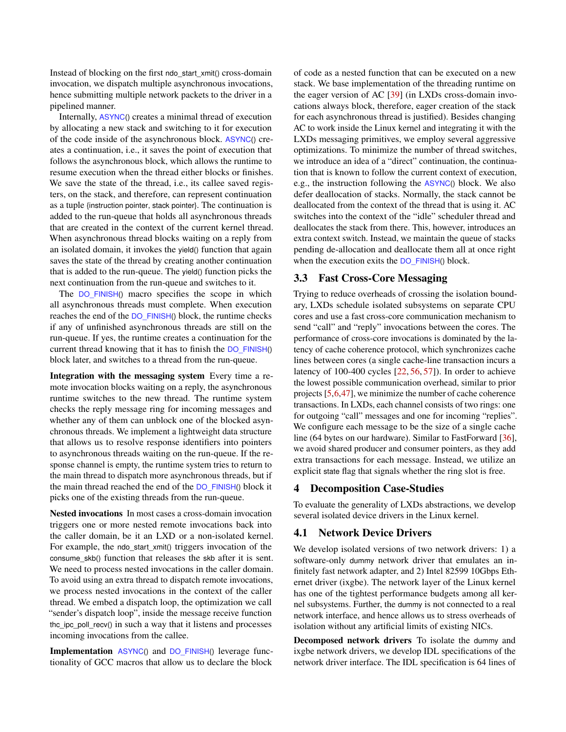Instead of blocking on the first ndo\_start\_xmit() cross-domain invocation, we dispatch multiple asynchronous invocations, hence submitting multiple network packets to the driver in a pipelined manner.

Internally, ASYNC() creates a minimal thread of execution by allocating a new stack and switching to it for execution of the code inside of the asynchronous block. ASYNC() creates a continuation, i.e., it saves the point of execution that follows the asynchronous block, which allows the runtime to resume execution when the thread either blocks or finishes. We save the state of the thread, i.e., its callee saved registers, on the stack, and therefore, can represent continuation as a tuple {instruction pointer, stack pointer}. The continuation is added to the run-queue that holds all asynchronous threads that are created in the context of the current kernel thread. When asynchronous thread blocks waiting on a reply from an isolated domain, it invokes the yield() function that again saves the state of the thread by creating another continuation that is added to the run-queue. The yield() function picks the next continuation from the run-queue and switches to it.

The DO\_FINISH() macro specifies the scope in which all asynchronous threads must complete. When execution reaches the end of the DO\_FINISH() block, the runtime checks if any of unfinished asynchronous threads are still on the run-queue. If yes, the runtime creates a continuation for the current thread knowing that it has to finish the DO\_FINISH() block later, and switches to a thread from the run-queue.

Integration with the messaging system Every time a remote invocation blocks waiting on a reply, the asynchronous runtime switches to the new thread. The runtime system checks the reply message ring for incoming messages and whether any of them can unblock one of the blocked asynchronous threads. We implement a lightweight data structure that allows us to resolve response identifiers into pointers to asynchronous threads waiting on the run-queue. If the response channel is empty, the runtime system tries to return to the main thread to dispatch more asynchronous threads, but if the main thread reached the end of the DO\_FINISH() block it picks one of the existing threads from the run-queue.

Nested invocations In most cases a cross-domain invocation triggers one or more nested remote invocations back into the caller domain, be it an LXD or a non-isolated kernel. For example, the ndo\_start\_xmit() triggers invocation of the consume\_skb() function that releases the skb after it is sent. We need to process nested invocations in the caller domain. To avoid using an extra thread to dispatch remote invocations, we process nested invocations in the context of the caller thread. We embed a dispatch loop, the optimization we call "sender's dispatch loop", inside the message receive function the ipc poll recv() in such a way that it listens and processes incoming invocations from the callee.

Implementation ASYNC() and DO\_FINISH() leverage functionality of GCC macros that allow us to declare the block of code as a nested function that can be executed on a new stack. We base implementation of the threading runtime on the eager version of AC [\[39\]](#page-13-13) (in LXDs cross-domain invocations always block, therefore, eager creation of the stack for each asynchronous thread is justified). Besides changing AC to work inside the Linux kernel and integrating it with the LXDs messaging primitives, we employ several aggressive optimizations. To minimize the number of thread switches, we introduce an idea of a "direct" continuation, the continuation that is known to follow the current context of execution, e.g., the instruction following the ASYNC() block. We also defer deallocation of stacks. Normally, the stack cannot be deallocated from the context of the thread that is using it. AC switches into the context of the "idle" scheduler thread and deallocates the stack from there. This, however, introduces an extra context switch. Instead, we maintain the queue of stacks pending de-allocation and deallocate them all at once right when the execution exits the DO\_FINISH() block.

#### 3.3 Fast Cross-Core Messaging

Trying to reduce overheads of crossing the isolation boundary, LXDs schedule isolated subsystems on separate CPU cores and use a fast cross-core communication mechanism to send "call" and "reply" invocations between the cores. The performance of cross-core invocations is dominated by the latency of cache coherence protocol, which synchronizes cache lines between cores (a single cache-line transaction incurs a latency of 100-400 cycles [\[22,](#page-12-16) [56,](#page-14-21) [57\]](#page-14-3)). In order to achieve the lowest possible communication overhead, similar to prior projects [\[5,](#page-12-11)[6,](#page-12-17)[47\]](#page-14-22), we minimize the number of cache coherence transactions. In LXDs, each channel consists of two rings: one for outgoing "call" messages and one for incoming "replies". We configure each message to be the size of a single cache line (64 bytes on our hardware). Similar to FastForward [\[36\]](#page-13-20), we avoid shared producer and consumer pointers, as they add extra transactions for each message. Instead, we utilize an explicit state flag that signals whether the ring slot is free.

#### <span id="page-6-0"></span>4 Decomposition Case-Studies

To evaluate the generality of LXDs abstractions, we develop several isolated device drivers in the Linux kernel.

### 4.1 Network Device Drivers

We develop isolated versions of two network drivers: 1) a software-only dummy network driver that emulates an infinitely fast network adapter, and 2) Intel 82599 10Gbps Ethernet driver (ixgbe). The network layer of the Linux kernel has one of the tightest performance budgets among all kernel subsystems. Further, the dummy is not connected to a real network interface, and hence allows us to stress overheads of isolation without any artificial limits of existing NICs.

Decomposed network drivers To isolate the dummy and ixgbe network drivers, we develop IDL specifications of the network driver interface. The IDL specification is 64 lines of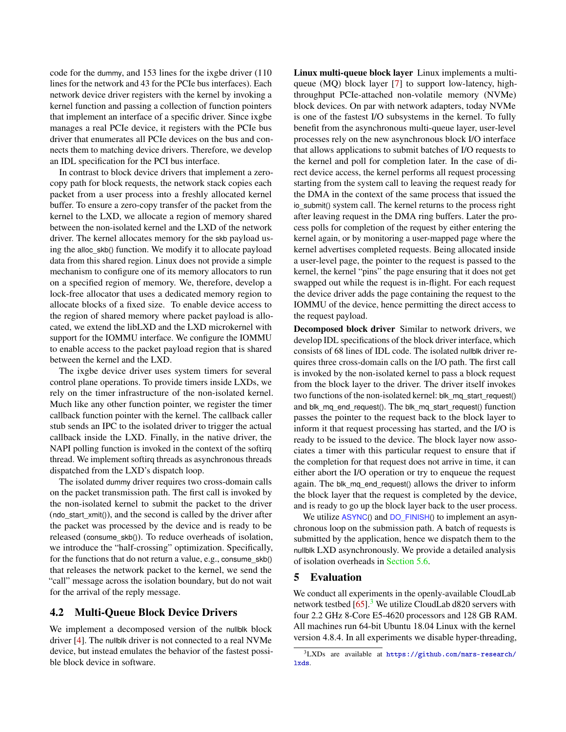code for the dummy, and 153 lines for the ixgbe driver (110 lines for the network and 43 for the PCIe bus interfaces). Each network device driver registers with the kernel by invoking a kernel function and passing a collection of function pointers that implement an interface of a specific driver. Since ixgbe manages a real PCIe device, it registers with the PCIe bus driver that enumerates all PCIe devices on the bus and connects them to matching device drivers. Therefore, we develop an IDL specification for the PCI bus interface.

In contrast to block device drivers that implement a zerocopy path for block requests, the network stack copies each packet from a user process into a freshly allocated kernel buffer. To ensure a zero-copy transfer of the packet from the kernel to the LXD, we allocate a region of memory shared between the non-isolated kernel and the LXD of the network driver. The kernel allocates memory for the skb payload using the alloc\_skb() function. We modify it to allocate payload data from this shared region. Linux does not provide a simple mechanism to configure one of its memory allocators to run on a specified region of memory. We, therefore, develop a lock-free allocator that uses a dedicated memory region to allocate blocks of a fixed size. To enable device access to the region of shared memory where packet payload is allocated, we extend the libLXD and the LXD microkernel with support for the IOMMU interface. We configure the IOMMU to enable access to the packet payload region that is shared between the kernel and the LXD.

The ixgbe device driver uses system timers for several control plane operations. To provide timers inside LXDs, we rely on the timer infrastructure of the non-isolated kernel. Much like any other function pointer, we register the timer callback function pointer with the kernel. The callback caller stub sends an IPC to the isolated driver to trigger the actual callback inside the LXD. Finally, in the native driver, the NAPI polling function is invoked in the context of the softirq thread. We implement softirq threads as asynchronous threads dispatched from the LXD's dispatch loop.

The isolated dummy driver requires two cross-domain calls on the packet transmission path. The first call is invoked by the non-isolated kernel to submit the packet to the driver (ndo\_start\_xmit()), and the second is called by the driver after the packet was processed by the device and is ready to be released (consume\_skb()). To reduce overheads of isolation, we introduce the "half-crossing" optimization. Specifically, for the functions that do not return a value, e.g., consume\_skb() that releases the network packet to the kernel, we send the "call" message across the isolation boundary, but do not wait for the arrival of the reply message.

### 4.2 Multi-Queue Block Device Drivers

We implement a decomposed version of the nullblk block driver [\[4\]](#page-12-18). The nullblk driver is not connected to a real NVMe device, but instead emulates the behavior of the fastest possible block device in software.

Linux multi-queue block layer Linux implements a multiqueue (MQ) block layer [\[7\]](#page-12-19) to support low-latency, highthroughput PCIe-attached non-volatile memory (NVMe) block devices. On par with network adapters, today NVMe is one of the fastest I/O subsystems in the kernel. To fully benefit from the asynchronous multi-queue layer, user-level processes rely on the new asynchronous block I/O interface that allows applications to submit batches of I/O requests to the kernel and poll for completion later. In the case of direct device access, the kernel performs all request processing starting from the system call to leaving the request ready for the DMA in the context of the same process that issued the io\_submit() system call. The kernel returns to the process right after leaving request in the DMA ring buffers. Later the process polls for completion of the request by either entering the kernel again, or by monitoring a user-mapped page where the kernel advertises completed requests. Being allocated inside a user-level page, the pointer to the request is passed to the kernel, the kernel "pins" the page ensuring that it does not get swapped out while the request is in-flight. For each request the device driver adds the page containing the request to the IOMMU of the device, hence permitting the direct access to the request payload.

Decomposed block driver Similar to network drivers, we develop IDL specifications of the block driver interface, which consists of 68 lines of IDL code. The isolated nullblk driver requires three cross-domain calls on the I/O path. The first call is invoked by the non-isolated kernel to pass a block request from the block layer to the driver. The driver itself invokes two functions of the non-isolated kernel: blk\_mq\_start\_request() and blk\_mq\_end\_request(). The blk\_mq\_start\_request() function passes the pointer to the request back to the block layer to inform it that request processing has started, and the I/O is ready to be issued to the device. The block layer now associates a timer with this particular request to ensure that if the completion for that request does not arrive in time, it can either abort the I/O operation or try to enqueue the request again. The blk\_mq\_end\_request() allows the driver to inform the block layer that the request is completed by the device, and is ready to go up the block layer back to the user process.

We utilize ASYNC() and DO FINISH() to implement an asynchronous loop on the submission path. A batch of requests is submitted by the application, hence we dispatch them to the nullblk LXD asynchronously. We provide a detailed analysis of isolation overheads in [Section 5.6.](#page-11-2)

#### <span id="page-7-0"></span>5 Evaluation

We conduct all experiments in the openly-available CloudLab network testbed  $[65]$ .<sup>[3](#page-7-1)</sup> We utilize CloudLab d820 servers with four 2.2 GHz 8-Core E5-4620 processors and 128 GB RAM. All machines run 64-bit Ubuntu 18.04 Linux with the kernel version 4.8.4. In all experiments we disable hyper-threading,

<span id="page-7-1"></span><sup>3</sup>LXDs are available at [https://github.com/mars-research/](https://github.com/mars-research/lxds) [lxds](https://github.com/mars-research/lxds).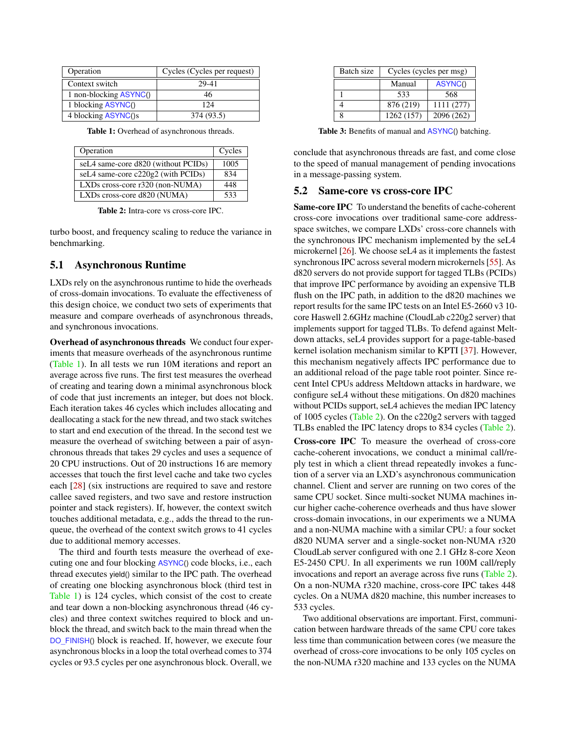<span id="page-8-0"></span>

| Operation              | Cycles (Cycles per request) |
|------------------------|-----------------------------|
| Context switch         | 29-41                       |
| 1 non-blocking ASYNC() | 46                          |
| 1 blocking ASYNC()     | 124                         |
| 4 blocking ASYNC()s    | 374 (93.5)                  |

| <b>Table 1:</b> Overhead of asynchronous threads. |  |
|---------------------------------------------------|--|
|---------------------------------------------------|--|

<span id="page-8-1"></span>

| Operation                           | Cycles |
|-------------------------------------|--------|
| seL4 same-core d820 (without PCIDs) | 1005   |
| seL4 same-core c220g2 (with PCIDs)  | 834    |
| $LXDs$ cross-core $r320$ (non-NUMA) | 448    |
| LXDs cross-core d820 (NUMA)         | 533    |
|                                     |        |

Table 2: Intra-core vs cross-core IPC.

turbo boost, and frequency scaling to reduce the variance in benchmarking.

### 5.1 Asynchronous Runtime

LXDs rely on the asynchronous runtime to hide the overheads of cross-domain invocations. To evaluate the effectiveness of this design choice, we conduct two sets of experiments that measure and compare overheads of asynchronous threads, and synchronous invocations.

Overhead of asynchronous threads We conduct four experiments that measure overheads of the asynchronous runtime [\(Table 1\)](#page-8-0). In all tests we run 10M iterations and report an average across five runs. The first test measures the overhead of creating and tearing down a minimal asynchronous block of code that just increments an integer, but does not block. Each iteration takes 46 cycles which includes allocating and deallocating a stack for the new thread, and two stack switches to start and end execution of the thread. In the second test we measure the overhead of switching between a pair of asynchronous threads that takes 29 cycles and uses a sequence of 20 CPU instructions. Out of 20 instructions 16 are memory accesses that touch the first level cache and take two cycles each [\[28\]](#page-13-21) (six instructions are required to save and restore callee saved registers, and two save and restore instruction pointer and stack registers). If, however, the context switch touches additional metadata, e.g., adds the thread to the runqueue, the overhead of the context switch grows to 41 cycles due to additional memory accesses.

The third and fourth tests measure the overhead of executing one and four blocking ASYNC() code blocks, i.e., each thread executes yield() similar to the IPC path. The overhead of creating one blocking asynchronous block (third test in [Table 1\)](#page-8-0) is 124 cycles, which consist of the cost to create and tear down a non-blocking asynchronous thread (46 cycles) and three context switches required to block and unblock the thread, and switch back to the main thread when the DO\_FINISH() block is reached. If, however, we execute four asynchronous blocks in a loop the total overhead comes to 374 cycles or 93.5 cycles per one asynchronous block. Overall, we

<span id="page-8-2"></span>

| Batch size | Cycles (cycles per msg) |            |
|------------|-------------------------|------------|
|            | Manual                  | ASYNC()    |
|            | 533                     | 568        |
|            | 876 (219)               | 1111 (277) |
| Ջ          | 1262 (157)              | 2096 (262) |

Table 3: Benefits of manual and ASYNC() batching.

conclude that asynchronous threads are fast, and come close to the speed of manual management of pending invocations in a message-passing system.

#### 5.2 Same-core vs cross-core IPC

Same-core IPC To understand the benefits of cache-coherent cross-core invocations over traditional same-core addressspace switches, we compare LXDs' cross-core channels with the synchronous IPC mechanism implemented by the seL4 microkernel [\[26\]](#page-13-3). We choose seL4 as it implements the fastest synchronous IPC across several modern microkernels [\[55\]](#page-14-24). As d820 servers do not provide support for tagged TLBs (PCIDs) that improve IPC performance by avoiding an expensive TLB flush on the IPC path, in addition to the d820 machines we report results for the same IPC tests on an Intel E5-2660 v3 10 core Haswell 2.6GHz machine (CloudLab c220g2 server) that implements support for tagged TLBs. To defend against Meltdown attacks, seL4 provides support for a page-table-based kernel isolation mechanism similar to KPTI [\[37\]](#page-13-22). However, this mechanism negatively affects IPC performance due to an additional reload of the page table root pointer. Since recent Intel CPUs address Meltdown attacks in hardware, we configure seL4 without these mitigations. On d820 machines without PCIDs support, seL4 achieves the median IPC latency of 1005 cycles [\(Table 2\)](#page-8-1). On the c220g2 servers with tagged TLBs enabled the IPC latency drops to 834 cycles [\(Table 2\)](#page-8-1).

Cross-core IPC To measure the overhead of cross-core cache-coherent invocations, we conduct a minimal call/reply test in which a client thread repeatedly invokes a function of a server via an LXD's asynchronous communication channel. Client and server are running on two cores of the same CPU socket. Since multi-socket NUMA machines incur higher cache-coherence overheads and thus have slower cross-domain invocations, in our experiments we a NUMA and a non-NUMA machine with a similar CPU: a four socket d820 NUMA server and a single-socket non-NUMA r320 CloudLab server configured with one 2.1 GHz 8-core Xeon E5-2450 CPU. In all experiments we run 100M call/reply invocations and report an average across five runs [\(Table 2\)](#page-8-1). On a non-NUMA r320 machine, cross-core IPC takes 448 cycles. On a NUMA d820 machine, this number increases to 533 cycles.

Two additional observations are important. First, communication between hardware threads of the same CPU core takes less time than communication between cores (we measure the overhead of cross-core invocations to be only 105 cycles on the non-NUMA r320 machine and 133 cycles on the NUMA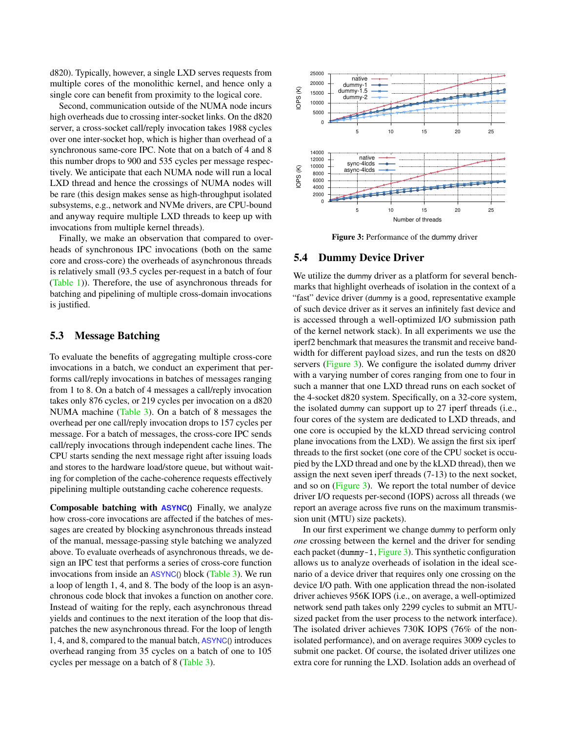d820). Typically, however, a single LXD serves requests from multiple cores of the monolithic kernel, and hence only a single core can benefit from proximity to the logical core.

Second, communication outside of the NUMA node incurs high overheads due to crossing inter-socket links. On the d820 server, a cross-socket call/reply invocation takes 1988 cycles over one inter-socket hop, which is higher than overhead of a synchronous same-core IPC. Note that on a batch of 4 and 8 this number drops to 900 and 535 cycles per message respectively. We anticipate that each NUMA node will run a local LXD thread and hence the crossings of NUMA nodes will be rare (this design makes sense as high-throughput isolated subsystems, e.g., network and NVMe drivers, are CPU-bound and anyway require multiple LXD threads to keep up with invocations from multiple kernel threads).

Finally, we make an observation that compared to overheads of synchronous IPC invocations (both on the same core and cross-core) the overheads of asynchronous threads is relatively small (93.5 cycles per-request in a batch of four [\(Table 1\)](#page-8-0)). Therefore, the use of asynchronous threads for batching and pipelining of multiple cross-domain invocations is justified.

### 5.3 Message Batching

To evaluate the benefits of aggregating multiple cross-core invocations in a batch, we conduct an experiment that performs call/reply invocations in batches of messages ranging from 1 to 8. On a batch of 4 messages a call/reply invocation takes only 876 cycles, or 219 cycles per invocation on a d820 NUMA machine [\(Table 3\)](#page-8-2). On a batch of 8 messages the overhead per one call/reply invocation drops to 157 cycles per message. For a batch of messages, the cross-core IPC sends call/reply invocations through independent cache lines. The CPU starts sending the next message right after issuing loads and stores to the hardware load/store queue, but without waiting for completion of the cache-coherence requests effectively pipelining multiple outstanding cache coherence requests.

Composable batching with **ASYNC()** Finally, we analyze how cross-core invocations are affected if the batches of messages are created by blocking asynchronous threads instead of the manual, message-passing style batching we analyzed above. To evaluate overheads of asynchronous threads, we design an IPC test that performs a series of cross-core function invocations from inside an ASYNC() block [\(Table 3\)](#page-8-2). We run a loop of length 1, 4, and 8. The body of the loop is an asynchronous code block that invokes a function on another core. Instead of waiting for the reply, each asynchronous thread yields and continues to the next iteration of the loop that dispatches the new asynchronous thread. For the loop of length 1, 4, and 8, compared to the manual batch, ASYNC() introduces overhead ranging from 35 cycles on a batch of one to 105 cycles per message on a batch of 8 [\(Table 3\)](#page-8-2).

<span id="page-9-0"></span>

Figure 3: Performance of the dummy driver

#### 5.4 Dummy Device Driver

We utilize the dummy driver as a platform for several benchmarks that highlight overheads of isolation in the context of a "fast" device driver (dummy is a good, representative example of such device driver as it serves an infinitely fast device and is accessed through a well-optimized I/O submission path of the kernel network stack). In all experiments we use the iperf2 benchmark that measures the transmit and receive bandwidth for different payload sizes, and run the tests on d820 servers [\(Figure 3\)](#page-9-0). We configure the isolated dummy driver with a varying number of cores ranging from one to four in such a manner that one LXD thread runs on each socket of the 4-socket d820 system. Specifically, on a 32-core system, the isolated dummy can support up to 27 iperf threads (i.e., four cores of the system are dedicated to LXD threads, and one core is occupied by the kLXD thread servicing control plane invocations from the LXD). We assign the first six iperf threads to the first socket (one core of the CPU socket is occupied by the LXD thread and one by the kLXD thread), then we assign the next seven iperf threads (7-13) to the next socket, and so on [\(Figure 3\)](#page-9-0). We report the total number of device driver I/O requests per-second (IOPS) across all threads (we report an average across five runs on the maximum transmission unit (MTU) size packets).

In our first experiment we change dummy to perform only *one* crossing between the kernel and the driver for sending each packet (dummy-1, [Figure 3\)](#page-9-0). This synthetic configuration allows us to analyze overheads of isolation in the ideal scenario of a device driver that requires only one crossing on the device I/O path. With one application thread the non-isolated driver achieves 956K IOPS (i.e., on average, a well-optimized network send path takes only 2299 cycles to submit an MTUsized packet from the user process to the network interface). The isolated driver achieves 730K IOPS (76% of the nonisolated performance), and on average requires 3009 cycles to submit one packet. Of course, the isolated driver utilizes one extra core for running the LXD. Isolation adds an overhead of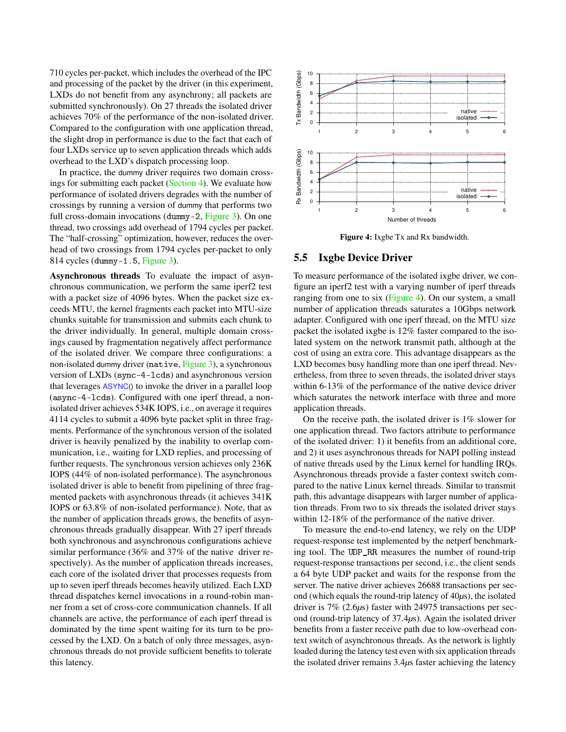710 cycles per-packet, which includes the overhead of the IPC and processing of the packet by the driver (in this experiment, LXDs do not benefit from any asynchrony; all packets are submitted synchronously). On 27 threads the isolated driver achieves 70% of the performance of the non-isolated driver. Compared to the configuration with one application thread, the slight drop in performance is due to the fact that each of four LXDs service up to seven application threads which adds overhead to the LXD's dispatch processing loop.

In practice, the dummy driver requires two domain crossings for submitting each packet [\(Section 4\)](#page-6-0). We evaluate how performance of isolated drivers degrades with the number of crossings by running a version of dummy that performs two full cross-domain invocations (dummy-2, [Figure 3\)](#page-9-0). On one thread, two crossings add overhead of 1794 cycles per packet. The "half-crossing" optimization, however, reduces the overhead of two crossings from 1794 cycles per-packet to only 814 cycles (dummy-1.5, [Figure 3\)](#page-9-0).

Asynchronous threads To evaluate the impact of asynchronous communication, we perform the same iperf2 test with a packet size of 4096 bytes. When the packet size exceeds MTU, the kernel fragments each packet into MTU-size chunks suitable for transmission and submits each chunk to the driver individually. In general, multiple domain crossings caused by fragmentation negatively affect performance of the isolated driver. We compare three configurations: a non-isolated dummy driver (native, [Figure 3\)](#page-9-0), a synchronous version of LXDs (sync-4-lcds) and asynchronous version that leverages ASYNC() to invoke the driver in a parallel loop (async-4-lcds). Configured with one iperf thread, a nonisolated driver achieves 534K IOPS, i.e., on average it requires 4114 cycles to submit a 4096 byte packet split in three fragments. Performance of the synchronous version of the isolated driver is heavily penalized by the inability to overlap communication, i.e., waiting for LXD replies, and processing of further requests. The synchronous version achieves only 236K IOPS (44% of non-isolated performance). The asynchronous isolated driver is able to benefit from pipelining of three fragmented packets with asynchronous threads (it achieves 341K IOPS or 63.8% of non-isolated performance). Note, that as the number of application threads grows, the benefits of asynchronous threads gradually disappear. With 27 iperf threads both synchronous and asynchronous configurations achieve similar performance (36% and 37% of the native driver respectively). As the number of application threads increases, each core of the isolated driver that processes requests from up to seven iperf threads becomes heavily utilized. Each LXD thread dispatches kernel invocations in a round-robin manner from a set of cross-core communication channels. If all channels are active, the performance of each iperf thread is dominated by the time spent waiting for its turn to be processed by the LXD. On a batch of only three messages, asynchronous threads do not provide sufficient benefits to tolerate this latency.

<span id="page-10-0"></span>

Figure 4: Ixgbe Tx and Rx bandwidth.

#### 5.5 Ixgbe Device Driver

To measure performance of the isolated ixgbe driver, we configure an iperf2 test with a varying number of iperf threads ranging from one to six [\(Figure 4\)](#page-10-0). On our system, a small number of application threads saturates a 10Gbps network adapter. Configured with one iperf thread, on the MTU size packet the isolated ixgbe is 12% faster compared to the isolated system on the network transmit path, although at the cost of using an extra core. This advantage disappears as the LXD becomes busy handling more than one iperf thread. Nevertheless, from three to seven threads, the isolated driver stays within 6-13% of the performance of the native device driver which saturates the network interface with three and more application threads.

On the receive path, the isolated driver is 1% slower for one application thread. Two factors attribute to performance of the isolated driver: 1) it benefits from an additional core, and 2) it uses asynchronous threads for NAPI polling instead of native threads used by the Linux kernel for handling IRQs. Asynchronous threads provide a faster context switch compared to the native Linux kernel threads. Similar to transmit path, this advantage disappears with larger number of application threads. From two to six threads the isolated driver stays within 12-18% of the performance of the native driver.

To measure the end-to-end latency, we rely on the UDP request-response test implemented by the netperf benchmarking tool. The UDP\_RR measures the number of round-trip request-response transactions per second, i.e., the client sends a 64 byte UDP packet and waits for the response from the server. The native driver achieves 26688 transactions per second (which equals the round-trip latency of 40*µ*s), the isolated driver is 7% (2.6*µ*s) faster with 24975 transactions per second (round-trip latency of 37.4*µ*s). Again the isolated driver benefits from a faster receive path due to low-overhead context switch of asynchronous threads. As the network is lightly loaded during the latency test even with six application threads the isolated driver remains 3.4*µ*s faster achieving the latency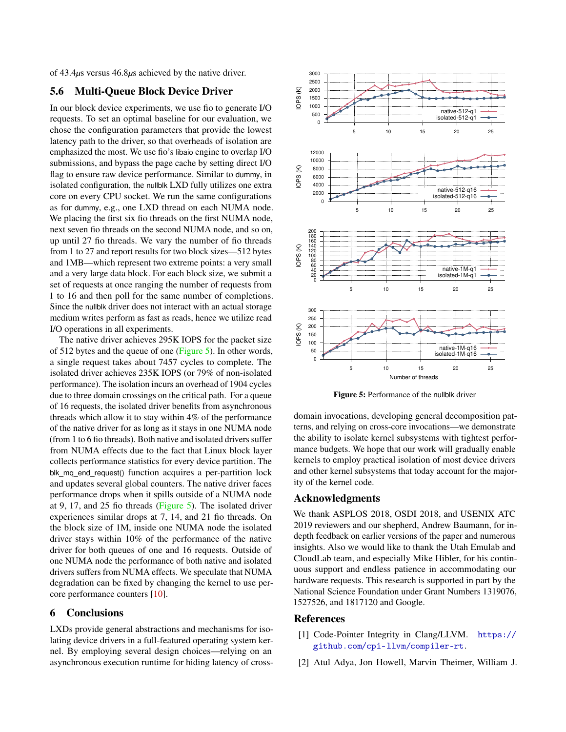<span id="page-11-2"></span>of 43.4*µ*s versus 46.8*µ*s achieved by the native driver.

# 5.6 Multi-Queue Block Device Driver

In our block device experiments, we use fio to generate I/O requests. To set an optimal baseline for our evaluation, we chose the configuration parameters that provide the lowest latency path to the driver, so that overheads of isolation are emphasized the most. We use fio's libaio engine to overlap I/O submissions, and bypass the page cache by setting direct I/O flag to ensure raw device performance. Similar to dummy, in isolated configuration, the nullblk LXD fully utilizes one extra core on every CPU socket. We run the same configurations as for dummy, e.g., one LXD thread on each NUMA node. We placing the first six fio threads on the first NUMA node, next seven fio threads on the second NUMA node, and so on, up until 27 fio threads. We vary the number of fio threads from 1 to 27 and report results for two block sizes—512 bytes and 1MB—which represent two extreme points: a very small and a very large data block. For each block size, we submit a set of requests at once ranging the number of requests from 1 to 16 and then poll for the same number of completions. Since the nullblk driver does not interact with an actual storage medium writes perform as fast as reads, hence we utilize read I/O operations in all experiments.

The native driver achieves 295K IOPS for the packet size of 512 bytes and the queue of one [\(Figure 5\)](#page-11-3). In other words, a single request takes about 7457 cycles to complete. The isolated driver achieves 235K IOPS (or 79% of non-isolated performance). The isolation incurs an overhead of 1904 cycles due to three domain crossings on the critical path. For a queue of 16 requests, the isolated driver benefits from asynchronous threads which allow it to stay within 4% of the performance of the native driver for as long as it stays in one NUMA node (from 1 to 6 fio threads). Both native and isolated drivers suffer from NUMA effects due to the fact that Linux block layer collects performance statistics for every device partition. The blk\_mq\_end\_request() function acquires a per-partition lock and updates several global counters. The native driver faces performance drops when it spills outside of a NUMA node at 9, 17, and 25 fio threads [\(Figure 5\)](#page-11-3). The isolated driver experiences similar drops at 7, 14, and 21 fio threads. On the block size of 1M, inside one NUMA node the isolated driver stays within 10% of the performance of the native driver for both queues of one and 16 requests. Outside of one NUMA node the performance of both native and isolated drivers suffers from NUMA effects. We speculate that NUMA degradation can be fixed by changing the kernel to use percore performance counters [\[10\]](#page-12-20).

### 6 Conclusions

LXDs provide general abstractions and mechanisms for isolating device drivers in a full-featured operating system kernel. By employing several design choices—relying on an asynchronous execution runtime for hiding latency of cross-

<span id="page-11-3"></span>

Figure 5: Performance of the nullblk driver

domain invocations, developing general decomposition patterns, and relying on cross-core invocations—we demonstrate the ability to isolate kernel subsystems with tightest performance budgets. We hope that our work will gradually enable kernels to employ practical isolation of most device drivers and other kernel subsystems that today account for the majority of the kernel code.

### Acknowledgments

We thank ASPLOS 2018, OSDI 2018, and USENIX ATC 2019 reviewers and our shepherd, Andrew Baumann, for indepth feedback on earlier versions of the paper and numerous insights. Also we would like to thank the Utah Emulab and CloudLab team, and especially Mike Hibler, for his continuous support and endless patience in accommodating our hardware requests. This research is supported in part by the National Science Foundation under Grant Numbers 1319076, 1527526, and 1817120 and Google.

### References

- <span id="page-11-0"></span>[1] Code-Pointer Integrity in Clang/LLVM. [https://](https://github.com/cpi-llvm/compiler-rt) [github.com/cpi-llvm/compiler-rt](https://github.com/cpi-llvm/compiler-rt).
- <span id="page-11-1"></span>[2] Atul Adya, Jon Howell, Marvin Theimer, William J.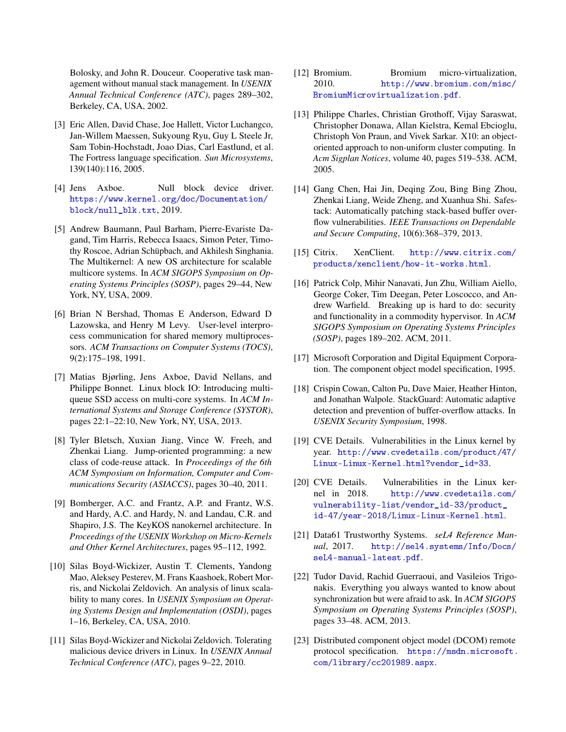Bolosky, and John R. Douceur. Cooperative task management without manual stack management. In *USENIX Annual Technical Conference (ATC)*, pages 289–302, Berkeley, CA, USA, 2002.

- <span id="page-12-12"></span>[3] Eric Allen, David Chase, Joe Hallett, Victor Luchangco, Jan-Willem Maessen, Sukyoung Ryu, Guy L Steele Jr, Sam Tobin-Hochstadt, Joao Dias, Carl Eastlund, et al. The Fortress language specification. *Sun Microsystems*, 139(140):116, 2005.
- <span id="page-12-18"></span>[4] Jens Axboe. Null block device driver. [https://www.kernel.org/doc/Documentation/](https://www.kernel.org/doc/Documentation/block/null_blk.txt) [block/null\\_blk.txt](https://www.kernel.org/doc/Documentation/block/null_blk.txt), 2019.
- <span id="page-12-11"></span>[5] Andrew Baumann, Paul Barham, Pierre-Evariste Dagand, Tim Harris, Rebecca Isaacs, Simon Peter, Timothy Roscoe, Adrian Schüpbach, and Akhilesh Singhania. The Multikernel: A new OS architecture for scalable multicore systems. In *ACM SIGOPS Symposium on Operating Systems Principles (SOSP)*, pages 29–44, New York, NY, USA, 2009.
- <span id="page-12-17"></span>[6] Brian N Bershad, Thomas E Anderson, Edward D Lazowska, and Henry M Levy. User-level interprocess communication for shared memory multiprocessors. *ACM Transactions on Computer Systems (TOCS)*, 9(2):175–198, 1991.
- <span id="page-12-19"></span>[7] Matias Bjørling, Jens Axboe, David Nellans, and Philippe Bonnet. Linux block IO: Introducing multiqueue SSD access on multi-core systems. In *ACM International Systems and Storage Conference (SYSTOR)*, pages 22:1–22:10, New York, NY, USA, 2013.
- <span id="page-12-3"></span>[8] Tyler Bletsch, Xuxian Jiang, Vince W. Freeh, and Zhenkai Liang. Jump-oriented programming: a new class of code-reuse attack. In *Proceedings of the 6th ACM Symposium on Information, Computer and Communications Security (ASIACCS)*, pages 30–40, 2011.
- <span id="page-12-8"></span>[9] Bomberger, A.C. and Frantz, A.P. and Frantz, W.S. and Hardy, A.C. and Hardy, N. and Landau, C.R. and Shapiro, J.S. The KeyKOS nanokernel architecture. In *Proceedings of the USENIX Workshop on Micro-Kernels and Other Kernel Architectures*, pages 95–112, 1992.
- <span id="page-12-20"></span>[10] Silas Boyd-Wickizer, Austin T. Clements, Yandong Mao, Aleksey Pesterev, M. Frans Kaashoek, Robert Morris, and Nickolai Zeldovich. An analysis of linux scalability to many cores. In *USENIX Symposium on Operating Systems Design and Implementation (OSDI)*, pages 1–16, Berkeley, CA, USA, 2010.
- <span id="page-12-6"></span>[11] Silas Boyd-Wickizer and Nickolai Zeldovich. Tolerating malicious device drivers in Linux. In *USENIX Annual Technical Conference (ATC)*, pages 9–22, 2010.
- <span id="page-12-9"></span>[12] Bromium. Bromium micro-virtualization, 2010. [http://www.bromium.com/misc/](http://www.bromium.com/misc/BromiumMicrovirtualization.pdf) [BromiumMicrovirtualization.pdf](http://www.bromium.com/misc/BromiumMicrovirtualization.pdf).
- <span id="page-12-13"></span>[13] Philippe Charles, Christian Grothoff, Vijay Saraswat, Christopher Donawa, Allan Kielstra, Kemal Ebcioglu, Christoph Von Praun, and Vivek Sarkar. X10: an objectoriented approach to non-uniform cluster computing. In *Acm Sigplan Notices*, volume 40, pages 519–538. ACM, 2005.
- <span id="page-12-4"></span>[14] Gang Chen, Hai Jin, Deqing Zou, Bing Bing Zhou, Zhenkai Liang, Weide Zheng, and Xuanhua Shi. Safestack: Automatically patching stack-based buffer overflow vulnerabilities. *IEEE Transactions on Dependable and Secure Computing*, 10(6):368–379, 2013.
- <span id="page-12-10"></span>[15] Citrix. XenClient. [http://www.citrix.com/](http://www.citrix.com/products/xenclient/how-it-works.html) [products/xenclient/how-it-works.html](http://www.citrix.com/products/xenclient/how-it-works.html).
- <span id="page-12-7"></span>[16] Patrick Colp, Mihir Nanavati, Jun Zhu, William Aiello, George Coker, Tim Deegan, Peter Loscocco, and Andrew Warfield. Breaking up is hard to do: security and functionality in a commodity hypervisor. In *ACM SIGOPS Symposium on Operating Systems Principles (SOSP)*, pages 189–202. ACM, 2011.
- <span id="page-12-14"></span>[17] Microsoft Corporation and Digital Equipment Corporation. The component object model specification, 1995.
- <span id="page-12-2"></span>[18] Crispin Cowan, Calton Pu, Dave Maier, Heather Hinton, and Jonathan Walpole. StackGuard: Automatic adaptive detection and prevention of buffer-overflow attacks. In *USENIX Security Symposium*, 1998.
- <span id="page-12-1"></span>[19] CVE Details. Vulnerabilities in the Linux kernel by year. [http://www.cvedetails.com/product/47/](http://www.cvedetails.com/product/47/Linux-Linux-Kernel.html?vendor_id=33) [Linux-Linux-Kernel.html?vendor\\_id=33](http://www.cvedetails.com/product/47/Linux-Linux-Kernel.html?vendor_id=33).
- <span id="page-12-0"></span>[20] CVE Details. Vulnerabilities in the Linux kernel in 2018. [http://www.cvedetails.com/](http://www.cvedetails.com/vulnerability-list/vendor_id-33/product_id-47/year-2018/Linux-Linux-Kernel.html) [vulnerability-list/vendor\\_id-33/product\\_](http://www.cvedetails.com/vulnerability-list/vendor_id-33/product_id-47/year-2018/Linux-Linux-Kernel.html) [id-47/year-2018/Linux-Linux-Kernel.html](http://www.cvedetails.com/vulnerability-list/vendor_id-33/product_id-47/year-2018/Linux-Linux-Kernel.html).
- <span id="page-12-5"></span>[21] Data61 Trustworthy Systems. *seL4 Reference Manual*, 2017. [http://sel4.systems/Info/Docs/](http://sel4.systems/Info/Docs/seL4-manual-latest.pdf) [seL4-manual-latest.pdf](http://sel4.systems/Info/Docs/seL4-manual-latest.pdf).
- <span id="page-12-16"></span>[22] Tudor David, Rachid Guerraoui, and Vasileios Trigonakis. Everything you always wanted to know about synchronization but were afraid to ask. In *ACM SIGOPS Symposium on Operating Systems Principles (SOSP)*, pages 33–48. ACM, 2013.
- <span id="page-12-15"></span>[23] Distributed component object model (DCOM) remote protocol specification. [https://msdn.microsoft.](https://msdn.microsoft.com/library/cc201989.aspx) [com/library/cc201989.aspx](https://msdn.microsoft.com/library/cc201989.aspx).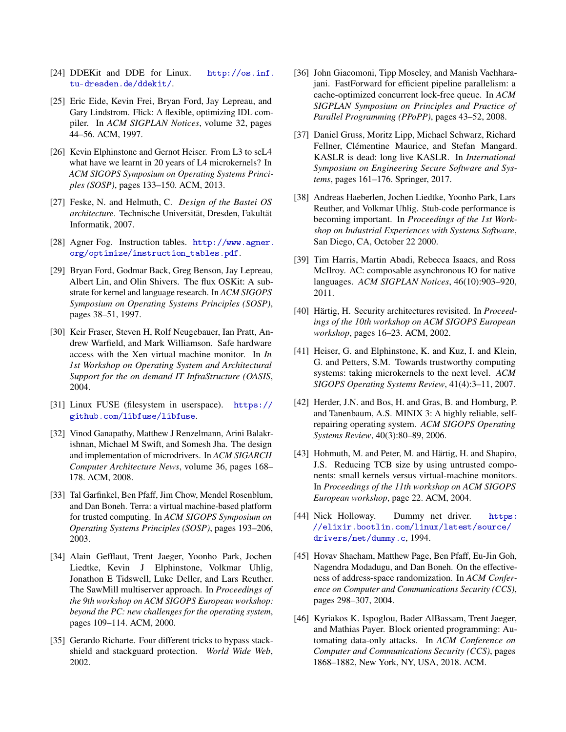- <span id="page-13-4"></span>[24] DDEKit and DDE for Linux. [http://os.inf.](http://os.inf.tu-dresden.de/ddekit/) [tu-dresden.de/ddekit/](http://os.inf.tu-dresden.de/ddekit/).
- <span id="page-13-16"></span>[25] Eric Eide, Kevin Frei, Bryan Ford, Jay Lepreau, and Gary Lindstrom. Flick: A flexible, optimizing IDL compiler. In *ACM SIGPLAN Notices*, volume 32, pages 44–56. ACM, 1997.
- <span id="page-13-3"></span>[26] Kevin Elphinstone and Gernot Heiser. From L3 to seL4 what have we learnt in 20 years of L4 microkernels? In *ACM SIGOPS Symposium on Operating Systems Principles (SOSP)*, pages 133–150. ACM, 2013.
- <span id="page-13-7"></span>[27] Feske, N. and Helmuth, C. *Design of the Bastei OS architecture*. Technische Universität, Dresden, Fakultät Informatik, 2007.
- <span id="page-13-21"></span>[28] Agner Fog. Instruction tables. [http://www.agner.](http://www.agner.org/optimize/instruction_tables.pdf ) [org/optimize/instruction\\_tables.pdf](http://www.agner.org/optimize/instruction_tables.pdf ).
- <span id="page-13-17"></span>[29] Bryan Ford, Godmar Back, Greg Benson, Jay Lepreau, Albert Lin, and Olin Shivers. The flux OSKit: A substrate for kernel and language research. In *ACM SIGOPS Symposium on Operating Systems Principles (SOSP)*, pages 38–51, 1997.
- <span id="page-13-6"></span>[30] Keir Fraser, Steven H, Rolf Neugebauer, Ian Pratt, Andrew Warfield, and Mark Williamson. Safe hardware access with the Xen virtual machine monitor. In *In 1st Workshop on Operating System and Architectural Support for the on demand IT InfraStructure (OASIS*, 2004.
- <span id="page-13-5"></span>[31] Linux FUSE (filesystem in userspace). [https://](https://github.com/libfuse/libfuse) [github.com/libfuse/libfuse](https://github.com/libfuse/libfuse).
- <span id="page-13-8"></span>[32] Vinod Ganapathy, Matthew J Renzelmann, Arini Balakrishnan, Michael M Swift, and Somesh Jha. The design and implementation of microdrivers. In *ACM SIGARCH Computer Architecture News*, volume 36, pages 168– 178. ACM, 2008.
- <span id="page-13-15"></span>[33] Tal Garfinkel, Ben Pfaff, Jim Chow, Mendel Rosenblum, and Dan Boneh. Terra: a virtual machine-based platform for trusted computing. In *ACM SIGOPS Symposium on Operating Systems Principles (SOSP)*, pages 193–206, 2003.
- <span id="page-13-9"></span>[34] Alain Gefflaut, Trent Jaeger, Yoonho Park, Jochen Liedtke, Kevin J Elphinstone, Volkmar Uhlig, Jonathon E Tidswell, Luke Deller, and Lars Reuther. The SawMill multiserver approach. In *Proceedings of the 9th workshop on ACM SIGOPS European workshop: beyond the PC: new challenges for the operating system*, pages 109–114. ACM, 2000.
- <span id="page-13-1"></span>[35] Gerardo Richarte. Four different tricks to bypass stackshield and stackguard protection. *World Wide Web*, 2002.
- <span id="page-13-20"></span>[36] John Giacomoni, Tipp Moseley, and Manish Vachharajani. FastForward for efficient pipeline parallelism: a cache-optimized concurrent lock-free queue. In *ACM SIGPLAN Symposium on Principles and Practice of Parallel Programming (PPoPP)*, pages 43–52, 2008.
- <span id="page-13-22"></span>[37] Daniel Gruss, Moritz Lipp, Michael Schwarz, Richard Fellner, Clémentine Maurice, and Stefan Mangard. KASLR is dead: long live KASLR. In *International Symposium on Engineering Secure Software and Systems*, pages 161–176. Springer, 2017.
- <span id="page-13-18"></span>[38] Andreas Haeberlen, Jochen Liedtke, Yoonho Park, Lars Reuther, and Volkmar Uhlig. Stub-code performance is becoming important. In *Proceedings of the 1st Workshop on Industrial Experiences with Systems Software*, San Diego, CA, October 22 2000.
- <span id="page-13-13"></span>[39] Tim Harris, Martin Abadi, Rebecca Isaacs, and Ross McIlroy. AC: composable asynchronous IO for native languages. *ACM SIGPLAN Notices*, 46(10):903–920, 2011.
- <span id="page-13-10"></span>[40] Härtig, H. Security architectures revisited. In *Proceedings of the 10th workshop on ACM SIGOPS European workshop*, pages 16–23. ACM, 2002.
- <span id="page-13-14"></span>[41] Heiser, G. and Elphinstone, K. and Kuz, I. and Klein, G. and Petters, S.M. Towards trustworthy computing systems: taking microkernels to the next level. *ACM SIGOPS Operating Systems Review*, 41(4):3–11, 2007.
- <span id="page-13-12"></span>[42] Herder, J.N. and Bos, H. and Gras, B. and Homburg, P. and Tanenbaum, A.S. MINIX 3: A highly reliable, selfrepairing operating system. *ACM SIGOPS Operating Systems Review*, 40(3):80–89, 2006.
- <span id="page-13-11"></span>[43] Hohmuth, M. and Peter, M. and Härtig, H. and Shapiro, J.S. Reducing TCB size by using untrusted components: small kernels versus virtual-machine monitors. In *Proceedings of the 11th workshop on ACM SIGOPS European workshop*, page 22. ACM, 2004.
- <span id="page-13-19"></span>[44] Nick Holloway. Dummy net driver. [https:](https://elixir.bootlin.com/linux/latest/source/drivers/net/dummy.c) [//elixir.bootlin.com/linux/latest/source/](https://elixir.bootlin.com/linux/latest/source/drivers/net/dummy.c) [drivers/net/dummy.c](https://elixir.bootlin.com/linux/latest/source/drivers/net/dummy.c), 1994.
- <span id="page-13-0"></span>[45] Hovav Shacham, Matthew Page, Ben Pfaff, Eu-Jin Goh, Nagendra Modadugu, and Dan Boneh. On the effectiveness of address-space randomization. In *ACM Conference on Computer and Communications Security (CCS)*, pages 298–307, 2004.
- <span id="page-13-2"></span>[46] Kyriakos K. Ispoglou, Bader AlBassam, Trent Jaeger, and Mathias Payer. Block oriented programming: Automating data-only attacks. In *ACM Conference on Computer and Communications Security (CCS)*, pages 1868–1882, New York, NY, USA, 2018. ACM.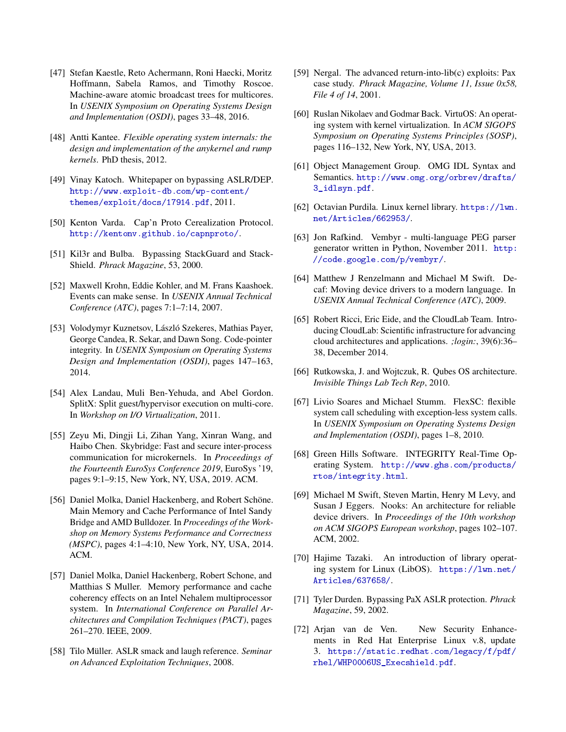- <span id="page-14-22"></span>[47] Stefan Kaestle, Reto Achermann, Roni Haecki, Moritz Hoffmann, Sabela Ramos, and Timothy Roscoe. Machine-aware atomic broadcast trees for multicores. In *USENIX Symposium on Operating Systems Design and Implementation (OSDI)*, pages 33–48, 2016.
- <span id="page-14-14"></span>[48] Antti Kantee. *Flexible operating system internals: the design and implementation of the anykernel and rump kernels*. PhD thesis, 2012.
- <span id="page-14-1"></span>[49] Vinay Katoch. Whitepaper on bypassing ASLR/DEP. [http://www.exploit-db.com/wp-content/](http://www.exploit-db.com/wp-content/themes/exploit/docs/17914.pdf) [themes/exploit/docs/17914.pdf](http://www.exploit-db.com/wp-content/themes/exploit/docs/17914.pdf), 2011.
- <span id="page-14-17"></span>[50] Kenton Varda. Cap'n Proto Cerealization Protocol. <http://kentonv.github.io/capnproto/>.
- <span id="page-14-2"></span>[51] Kil3r and Bulba. Bypassing StackGuard and Stack-Shield. *Phrack Magazine*, 53, 2000.
- <span id="page-14-20"></span>[52] Maxwell Krohn, Eddie Kohler, and M. Frans Kaashoek. Events can make sense. In *USENIX Annual Technical Conference (ATC)*, pages 7:1–7:14, 2007.
- <span id="page-14-6"></span>[53] Volodymyr Kuznetsov, László Szekeres, Mathias Payer, George Candea, R. Sekar, and Dawn Song. Code-pointer integrity. In *USENIX Symposium on Operating Systems Design and Implementation (OSDI)*, pages 147–163, 2014.
- <span id="page-14-11"></span>[54] Alex Landau, Muli Ben-Yehuda, and Abel Gordon. SplitX: Split guest/hypervisor execution on multi-core. In *Workshop on I/O Virtualization*, 2011.
- <span id="page-14-24"></span>[55] Zeyu Mi, Dingji Li, Zihan Yang, Xinran Wang, and Haibo Chen. Skybridge: Fast and secure inter-process communication for microkernels. In *Proceedings of the Fourteenth EuroSys Conference 2019*, EuroSys '19, pages 9:1–9:15, New York, NY, USA, 2019. ACM.
- <span id="page-14-21"></span>[56] Daniel Molka, Daniel Hackenberg, and Robert Schöne. Main Memory and Cache Performance of Intel Sandy Bridge and AMD Bulldozer. In *Proceedings of the Workshop on Memory Systems Performance and Correctness (MSPC)*, pages 4:1–4:10, New York, NY, USA, 2014. ACM.
- <span id="page-14-3"></span>[57] Daniel Molka, Daniel Hackenberg, Robert Schone, and Matthias S Muller. Memory performance and cache coherency effects on an Intel Nehalem multiprocessor system. In *International Conference on Parallel Architectures and Compilation Techniques (PACT)*, pages 261–270. IEEE, 2009.
- [58] Tilo Müller. ASLR smack and laugh reference. *Seminar on Advanced Exploitation Techniques*, 2008.
- <span id="page-14-4"></span>[59] Nergal. The advanced return-into-lib(c) exploits: Pax case study. *Phrack Magazine, Volume 11, Issue 0x58, File 4 of 14*, 2001.
- <span id="page-14-7"></span>[60] Ruslan Nikolaev and Godmar Back. VirtuOS: An operating system with kernel virtualization. In *ACM SIGOPS Symposium on Operating Systems Principles (SOSP)*, pages 116–132, New York, NY, USA, 2013.
- <span id="page-14-18"></span>[61] Object Management Group. OMG IDL Syntax and Semantics. [http://www.omg.org/orbrev/drafts/](http://www.omg.org/orbrev/drafts/3_idlsyn.pdf) [3\\_idlsyn.pdf](http://www.omg.org/orbrev/drafts/3_idlsyn.pdf).
- <span id="page-14-15"></span>[62] Octavian Purdila. Linux kernel library. [https://lwn.](https://lwn.net/Articles/662953/) [net/Articles/662953/](https://lwn.net/Articles/662953/).
- <span id="page-14-19"></span>[63] Jon Rafkind. Vembyr - multi-language PEG parser generator written in Python, November 2011. [http:](http://code.google.com/p/vembyr/) [//code.google.com/p/vembyr/](http://code.google.com/p/vembyr/).
- <span id="page-14-13"></span>[64] Matthew J Renzelmann and Michael M Swift. Decaf: Moving device drivers to a modern language. In *USENIX Annual Technical Conference (ATC)*, 2009.
- <span id="page-14-23"></span>[65] Robert Ricci, Eric Eide, and the CloudLab Team. Introducing CloudLab: Scientific infrastructure for advancing cloud architectures and applications. *;login:*, 39(6):36– 38, December 2014.
- <span id="page-14-8"></span>[66] Rutkowska, J. and Wojtczuk, R. Qubes OS architecture. *Invisible Things Lab Tech Rep*, 2010.
- <span id="page-14-12"></span>[67] Livio Soares and Michael Stumm. FlexSC: flexible system call scheduling with exception-less system calls. In *USENIX Symposium on Operating Systems Design and Implementation (OSDI)*, pages 1–8, 2010.
- <span id="page-14-9"></span>[68] Green Hills Software. INTEGRITY Real-Time Operating System. [http://www.ghs.com/products/](http://www.ghs.com/products/rtos/integrity.html) [rtos/integrity.html](http://www.ghs.com/products/rtos/integrity.html).
- <span id="page-14-10"></span>[69] Michael M Swift, Steven Martin, Henry M Levy, and Susan J Eggers. Nooks: An architecture for reliable device drivers. In *Proceedings of the 10th workshop on ACM SIGOPS European workshop*, pages 102–107. ACM, 2002.
- <span id="page-14-16"></span>[70] Hajime Tazaki. An introduction of library operating system for Linux (LibOS). [https://lwn.net/](https://lwn.net/Articles/637658/) [Articles/637658/](https://lwn.net/Articles/637658/).
- <span id="page-14-5"></span>[71] Tyler Durden. Bypassing PaX ASLR protection. *Phrack Magazine*, 59, 2002.
- <span id="page-14-0"></span>[72] Arjan van de Ven. New Security Enhancements in Red Hat Enterprise Linux v.8, update 3. [https://static.redhat.com/legacy/f/pdf/](https://static.redhat.com/legacy/f/pdf/rhel/WHP0006US_Execshield.pdf) [rhel/WHP0006US\\_Execshield.pdf](https://static.redhat.com/legacy/f/pdf/rhel/WHP0006US_Execshield.pdf).